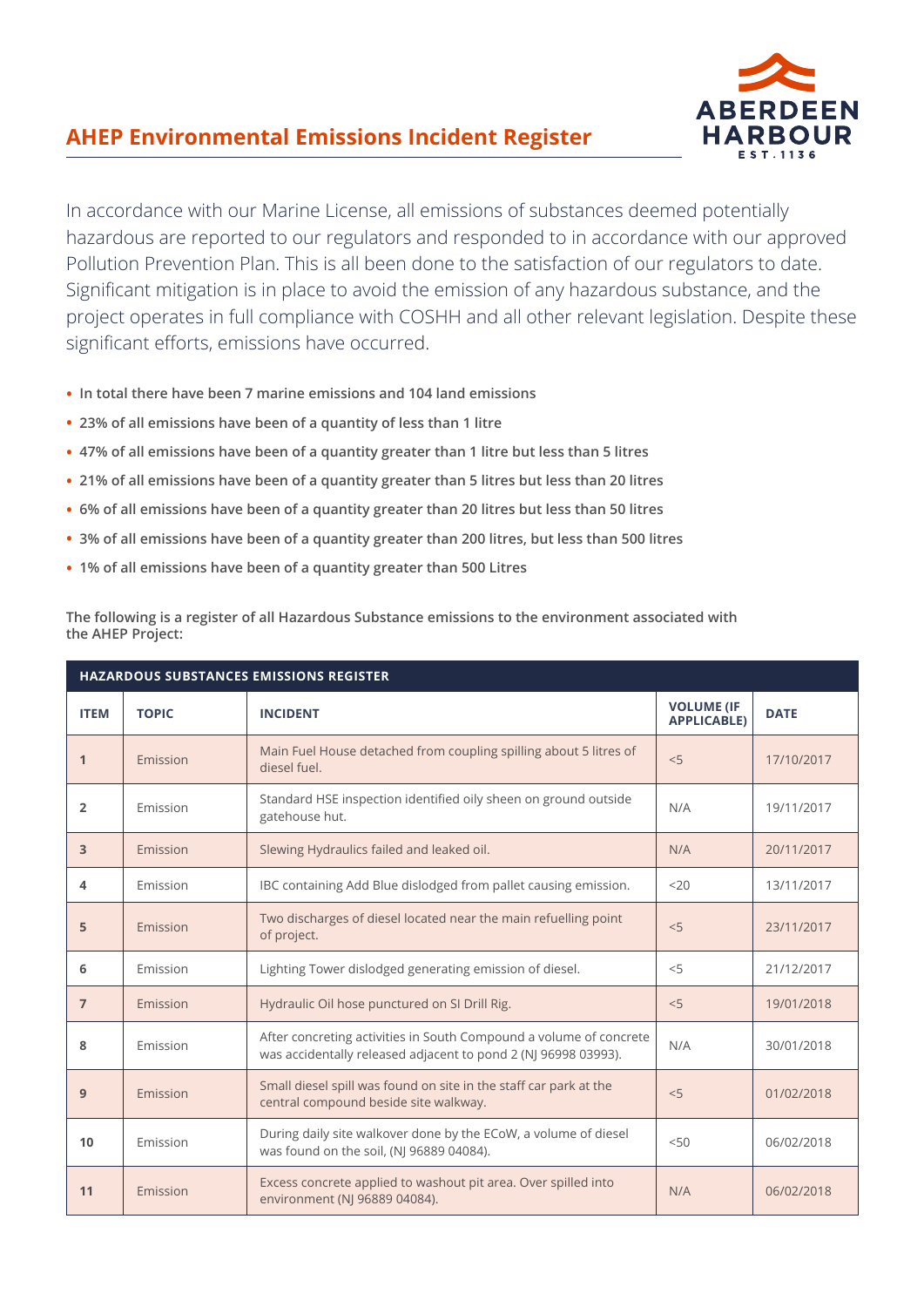## **AHEP Environmental Emissions Incident Register**



In accordance with our Marine License, all emissions of substances deemed potentially hazardous are reported to our regulators and responded to in accordance with our approved Pollution Prevention Plan. This is all been done to the satisfaction of our regulators to date. Significant mitigation is in place to avoid the emission of any hazardous substance, and the project operates in full compliance with COSHH and all other relevant legislation. Despite these significant efforts, emissions have occurred.

- **In total there have been 7 marine emissions and 104 land emissions**
- **23% of all emissions have been of a quantity of less than 1 litre**
- **47% of all emissions have been of a quantity greater than 1 litre but less than 5 litres**
- **21% of all emissions have been of a quantity greater than 5 litres but less than 20 litres**
- **6% of all emissions have been of a quantity greater than 20 litres but less than 50 litres**
- **3% of all emissions have been of a quantity greater than 200 litres, but less than 500 litres**
- **1% of all emissions have been of a quantity greater than 500 Litres**

**The following is a register of all Hazardous Substance emissions to the environment associated with the AHEP Project:**

| HAZARDOUS SUBSTANCES EMISSIONS REGISTER |              |                                                                                                                                      |                                         |             |  |
|-----------------------------------------|--------------|--------------------------------------------------------------------------------------------------------------------------------------|-----------------------------------------|-------------|--|
| <b>ITEM</b>                             | <b>TOPIC</b> | <b>INCIDENT</b>                                                                                                                      | <b>VOLUME (IF</b><br><b>APPLICABLE)</b> | <b>DATE</b> |  |
| 1                                       | Emission     | Main Fuel House detached from coupling spilling about 5 litres of<br>diesel fuel.                                                    | < 5                                     | 17/10/2017  |  |
| 2                                       | Emission     | Standard HSE inspection identified oily sheen on ground outside<br>gatehouse hut.                                                    | N/A                                     | 19/11/2017  |  |
| 3                                       | Emission     | Slewing Hydraulics failed and leaked oil.                                                                                            | N/A                                     | 20/11/2017  |  |
| 4                                       | Emission     | IBC containing Add Blue dislodged from pallet causing emission.                                                                      | 20                                      | 13/11/2017  |  |
| 5                                       | Emission     | Two discharges of diesel located near the main refuelling point<br>of project.                                                       | < 5                                     | 23/11/2017  |  |
| 6                                       | Emission     | Lighting Tower dislodged generating emission of diesel.                                                                              | < 5                                     | 21/12/2017  |  |
| $\overline{7}$                          | Emission     | Hydraulic Oil hose punctured on SI Drill Rig.                                                                                        | < 5                                     | 19/01/2018  |  |
| 8                                       | Emission     | After concreting activities in South Compound a volume of concrete<br>was accidentally released adjacent to pond 2 (NJ 96998 03993). | N/A                                     | 30/01/2018  |  |
| 9                                       | Emission     | Small diesel spill was found on site in the staff car park at the<br>central compound beside site walkway.                           | < 5                                     | 01/02/2018  |  |
| 10                                      | Emission     | During daily site walkover done by the ECoW, a volume of diesel<br>was found on the soil, (NJ 96889 04084).                          | 50<                                     | 06/02/2018  |  |
| 11                                      | Emission     | Excess concrete applied to washout pit area. Over spilled into<br>environment (NJ 96889 04084).                                      | N/A                                     | 06/02/2018  |  |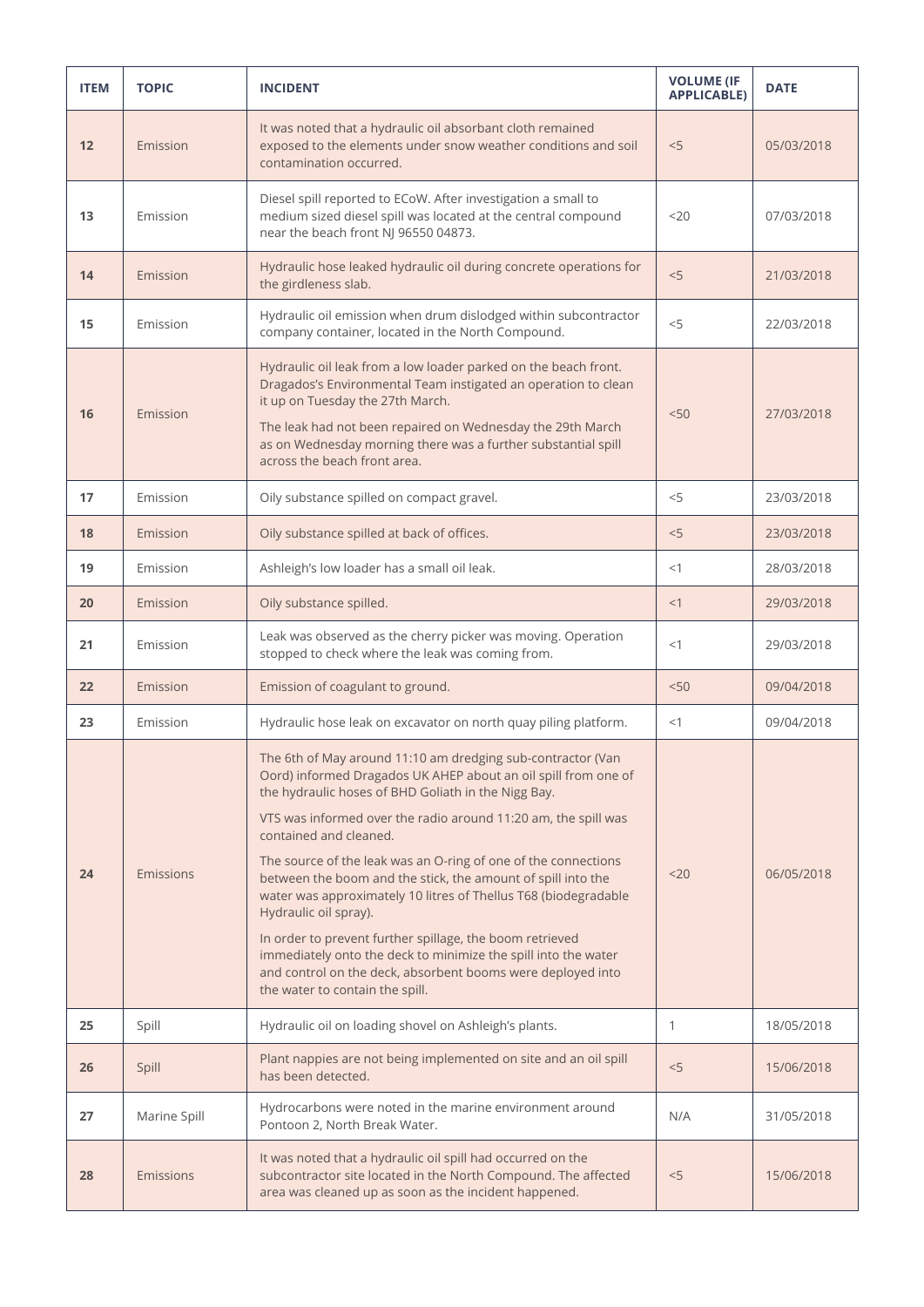| <b>ITEM</b> | <b>TOPIC</b> | <b>INCIDENT</b>                                                                                                                                                                                                                                                                                                                                                                                                                                                                                                                                                                                                                                                                                                                                | <b>VOLUME (IF</b><br><b>APPLICABLE)</b> | <b>DATE</b> |
|-------------|--------------|------------------------------------------------------------------------------------------------------------------------------------------------------------------------------------------------------------------------------------------------------------------------------------------------------------------------------------------------------------------------------------------------------------------------------------------------------------------------------------------------------------------------------------------------------------------------------------------------------------------------------------------------------------------------------------------------------------------------------------------------|-----------------------------------------|-------------|
| 12          | Emission     | It was noted that a hydraulic oil absorbant cloth remained<br>exposed to the elements under snow weather conditions and soil<br>contamination occurred.                                                                                                                                                                                                                                                                                                                                                                                                                                                                                                                                                                                        | < 5                                     | 05/03/2018  |
| 13          | Emission     | Diesel spill reported to ECoW. After investigation a small to<br>medium sized diesel spill was located at the central compound<br>near the beach front NJ 96550 04873.                                                                                                                                                                                                                                                                                                                                                                                                                                                                                                                                                                         | $20$                                    | 07/03/2018  |
| 14          | Emission     | Hydraulic hose leaked hydraulic oil during concrete operations for<br>the girdleness slab.                                                                                                                                                                                                                                                                                                                                                                                                                                                                                                                                                                                                                                                     | < 5                                     | 21/03/2018  |
| 15          | Emission     | Hydraulic oil emission when drum dislodged within subcontractor<br>company container, located in the North Compound.                                                                                                                                                                                                                                                                                                                                                                                                                                                                                                                                                                                                                           | < 5                                     | 22/03/2018  |
| 16          | Emission     | Hydraulic oil leak from a low loader parked on the beach front.<br>Dragados's Environmental Team instigated an operation to clean<br>it up on Tuesday the 27th March.<br>The leak had not been repaired on Wednesday the 29th March<br>as on Wednesday morning there was a further substantial spill<br>across the beach front area.                                                                                                                                                                                                                                                                                                                                                                                                           | < 50                                    | 27/03/2018  |
| 17          | Emission     | Oily substance spilled on compact gravel.                                                                                                                                                                                                                                                                                                                                                                                                                                                                                                                                                                                                                                                                                                      | $<$ 5                                   | 23/03/2018  |
| 18          | Emission     | Oily substance spilled at back of offices.                                                                                                                                                                                                                                                                                                                                                                                                                                                                                                                                                                                                                                                                                                     | < 5                                     | 23/03/2018  |
| 19          | Emission     | Ashleigh's low loader has a small oil leak.                                                                                                                                                                                                                                                                                                                                                                                                                                                                                                                                                                                                                                                                                                    | <1                                      | 28/03/2018  |
| 20          | Emission     | Oily substance spilled.                                                                                                                                                                                                                                                                                                                                                                                                                                                                                                                                                                                                                                                                                                                        | <1                                      | 29/03/2018  |
| 21          | Emission     | Leak was observed as the cherry picker was moving. Operation<br>stopped to check where the leak was coming from.                                                                                                                                                                                                                                                                                                                                                                                                                                                                                                                                                                                                                               | <1                                      | 29/03/2018  |
| 22          | Emission     | Emission of coagulant to ground.                                                                                                                                                                                                                                                                                                                                                                                                                                                                                                                                                                                                                                                                                                               | 50<                                     | 09/04/2018  |
| 23          | Emission     | Hydraulic hose leak on excavator on north quay piling platform.                                                                                                                                                                                                                                                                                                                                                                                                                                                                                                                                                                                                                                                                                | <1                                      | 09/04/2018  |
| 24          | Emissions    | The 6th of May around 11:10 am dredging sub-contractor (Van<br>Oord) informed Dragados UK AHEP about an oil spill from one of<br>the hydraulic hoses of BHD Goliath in the Nigg Bay.<br>VTS was informed over the radio around 11:20 am, the spill was<br>contained and cleaned.<br>The source of the leak was an O-ring of one of the connections<br>between the boom and the stick, the amount of spill into the<br>water was approximately 10 litres of Thellus T68 (biodegradable<br>Hydraulic oil spray).<br>In order to prevent further spillage, the boom retrieved<br>immediately onto the deck to minimize the spill into the water<br>and control on the deck, absorbent booms were deployed into<br>the water to contain the spill. | $20$                                    | 06/05/2018  |
| 25          | Spill        | Hydraulic oil on loading shovel on Ashleigh's plants.                                                                                                                                                                                                                                                                                                                                                                                                                                                                                                                                                                                                                                                                                          | $\mathbf{1}$                            | 18/05/2018  |
| 26          | Spill        | Plant nappies are not being implemented on site and an oil spill<br>has been detected.                                                                                                                                                                                                                                                                                                                                                                                                                                                                                                                                                                                                                                                         | < 5                                     | 15/06/2018  |
| 27          | Marine Spill | Hydrocarbons were noted in the marine environment around<br>Pontoon 2, North Break Water.                                                                                                                                                                                                                                                                                                                                                                                                                                                                                                                                                                                                                                                      | N/A                                     | 31/05/2018  |
| 28          | Emissions    | It was noted that a hydraulic oil spill had occurred on the<br>subcontractor site located in the North Compound. The affected<br>area was cleaned up as soon as the incident happened.                                                                                                                                                                                                                                                                                                                                                                                                                                                                                                                                                         | $<$ 5                                   | 15/06/2018  |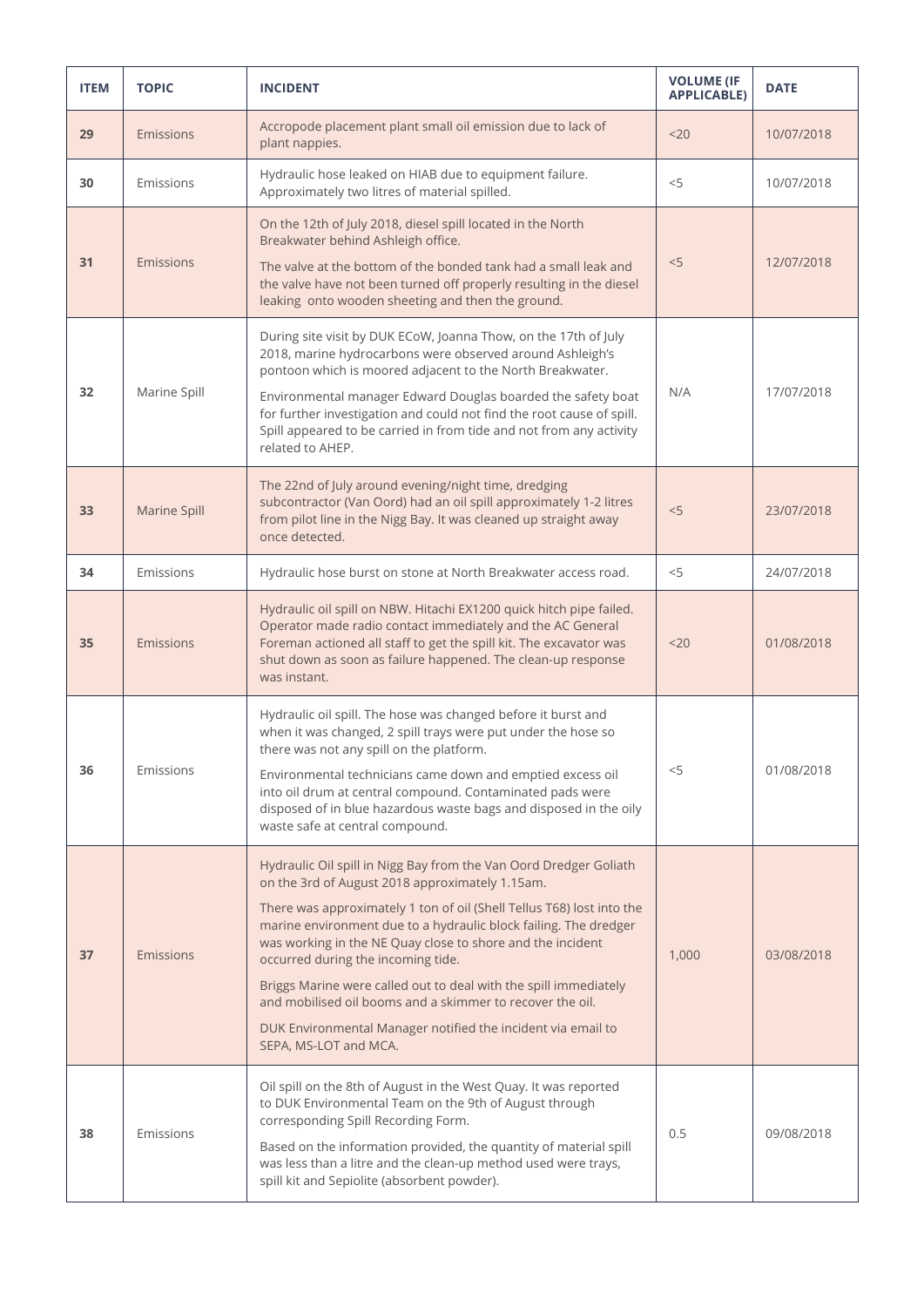| <b>ITEM</b> | <b>TOPIC</b> | <b>INCIDENT</b>                                                                                                                                                                                                                                                                                                                                                                                                                                                                                                                                                                                 | <b>VOLUME (IF</b><br><b>APPLICABLE)</b> | <b>DATE</b> |
|-------------|--------------|-------------------------------------------------------------------------------------------------------------------------------------------------------------------------------------------------------------------------------------------------------------------------------------------------------------------------------------------------------------------------------------------------------------------------------------------------------------------------------------------------------------------------------------------------------------------------------------------------|-----------------------------------------|-------------|
| 29          | Emissions    | Accropode placement plant small oil emission due to lack of<br>plant nappies.                                                                                                                                                                                                                                                                                                                                                                                                                                                                                                                   | $20$                                    | 10/07/2018  |
| 30          | Emissions    | Hydraulic hose leaked on HIAB due to equipment failure.<br>Approximately two litres of material spilled.                                                                                                                                                                                                                                                                                                                                                                                                                                                                                        | $<$ 5                                   | 10/07/2018  |
| 31          | Emissions    | On the 12th of July 2018, diesel spill located in the North<br>Breakwater behind Ashleigh office.<br>The valve at the bottom of the bonded tank had a small leak and<br>the valve have not been turned off properly resulting in the diesel<br>leaking onto wooden sheeting and then the ground.                                                                                                                                                                                                                                                                                                | $<$ 5                                   | 12/07/2018  |
| 32          | Marine Spill | During site visit by DUK ECoW, Joanna Thow, on the 17th of July<br>2018, marine hydrocarbons were observed around Ashleigh's<br>pontoon which is moored adjacent to the North Breakwater.<br>Environmental manager Edward Douglas boarded the safety boat<br>for further investigation and could not find the root cause of spill.<br>Spill appeared to be carried in from tide and not from any activity<br>related to AHEP.                                                                                                                                                                   | N/A                                     | 17/07/2018  |
| 33          | Marine Spill | The 22nd of July around evening/night time, dredging<br>subcontractor (Van Oord) had an oil spill approximately 1-2 litres<br>from pilot line in the Nigg Bay. It was cleaned up straight away<br>once detected.                                                                                                                                                                                                                                                                                                                                                                                | < 5                                     | 23/07/2018  |
| 34          | Emissions    | Hydraulic hose burst on stone at North Breakwater access road.                                                                                                                                                                                                                                                                                                                                                                                                                                                                                                                                  | $<$ 5                                   | 24/07/2018  |
| 35          | Emissions    | Hydraulic oil spill on NBW. Hitachi EX1200 quick hitch pipe failed.<br>Operator made radio contact immediately and the AC General<br>Foreman actioned all staff to get the spill kit. The excavator was<br>shut down as soon as failure happened. The clean-up response<br>was instant.                                                                                                                                                                                                                                                                                                         | $20$                                    | 01/08/2018  |
| 36          | Emissions    | Hydraulic oil spill. The hose was changed before it burst and<br>when it was changed, 2 spill trays were put under the hose so<br>there was not any spill on the platform.<br>Environmental technicians came down and emptied excess oil<br>into oil drum at central compound. Contaminated pads were<br>disposed of in blue hazardous waste bags and disposed in the oily<br>waste safe at central compound.                                                                                                                                                                                   | $<$ 5                                   | 01/08/2018  |
| 37          | Emissions    | Hydraulic Oil spill in Nigg Bay from the Van Oord Dredger Goliath<br>on the 3rd of August 2018 approximately 1.15am.<br>There was approximately 1 ton of oil (Shell Tellus T68) lost into the<br>marine environment due to a hydraulic block failing. The dredger<br>was working in the NE Quay close to shore and the incident<br>occurred during the incoming tide.<br>Briggs Marine were called out to deal with the spill immediately<br>and mobilised oil booms and a skimmer to recover the oil.<br>DUK Environmental Manager notified the incident via email to<br>SEPA, MS-LOT and MCA. | 1,000                                   | 03/08/2018  |
| 38          | Emissions    | Oil spill on the 8th of August in the West Quay. It was reported<br>to DUK Environmental Team on the 9th of August through<br>corresponding Spill Recording Form.<br>Based on the information provided, the quantity of material spill<br>was less than a litre and the clean-up method used were trays,<br>spill kit and Sepiolite (absorbent powder).                                                                                                                                                                                                                                         | 0.5                                     | 09/08/2018  |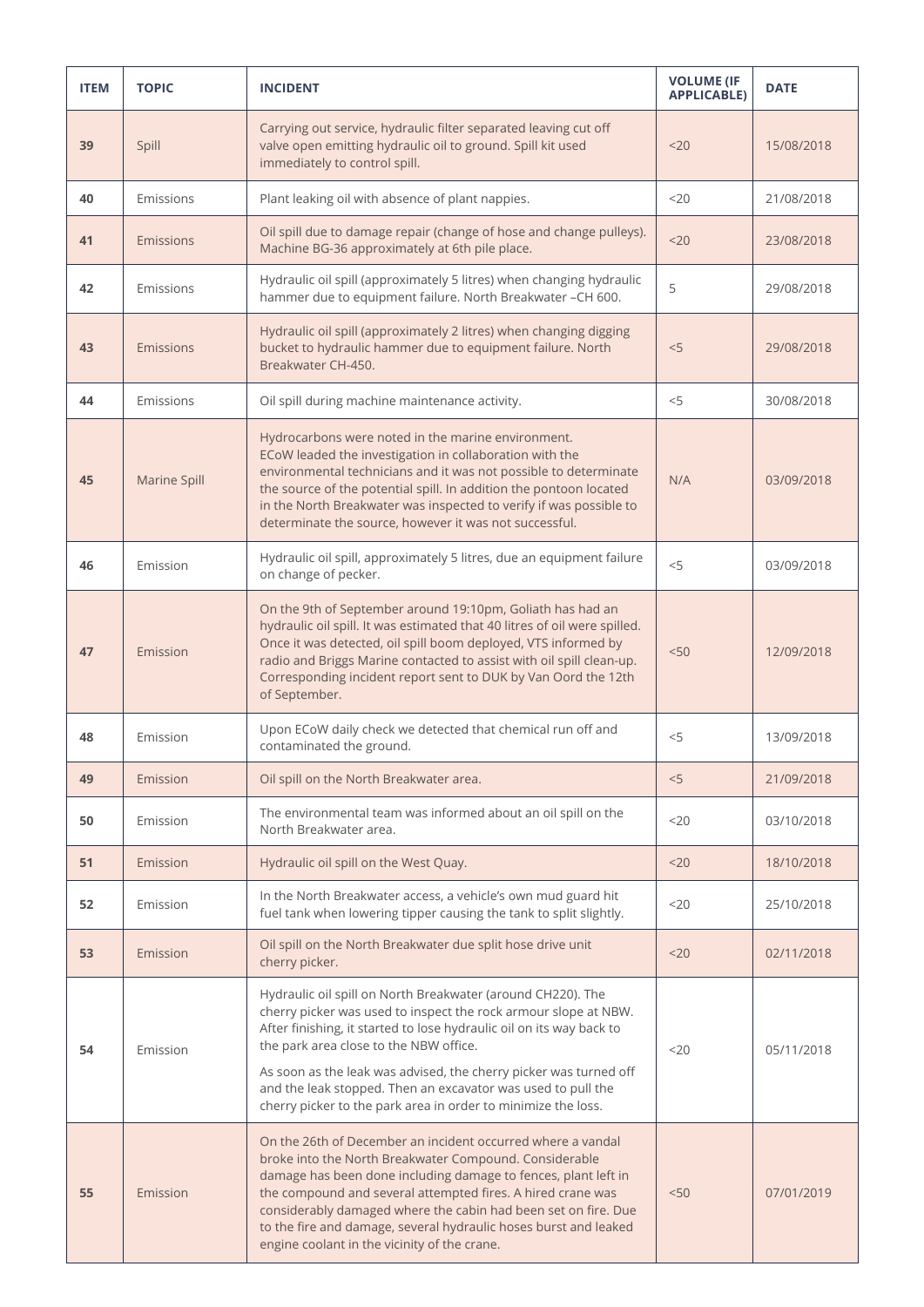| <b>ITEM</b> | <b>TOPIC</b> | <b>INCIDENT</b>                                                                                                                                                                                                                                                                                                                                                                                                                                        | <b>VOLUME (IF</b><br><b>APPLICABLE)</b> | <b>DATE</b> |
|-------------|--------------|--------------------------------------------------------------------------------------------------------------------------------------------------------------------------------------------------------------------------------------------------------------------------------------------------------------------------------------------------------------------------------------------------------------------------------------------------------|-----------------------------------------|-------------|
| 39          | Spill        | Carrying out service, hydraulic filter separated leaving cut off<br>valve open emitting hydraulic oil to ground. Spill kit used<br>immediately to control spill.                                                                                                                                                                                                                                                                                       | $20$                                    | 15/08/2018  |
| 40          | Emissions    | Plant leaking oil with absence of plant nappies.                                                                                                                                                                                                                                                                                                                                                                                                       | $<$ 20                                  | 21/08/2018  |
| 41          | Emissions    | Oil spill due to damage repair (change of hose and change pulleys).<br>Machine BG-36 approximately at 6th pile place.                                                                                                                                                                                                                                                                                                                                  | $20$                                    | 23/08/2018  |
| 42          | Emissions    | Hydraulic oil spill (approximately 5 litres) when changing hydraulic<br>hammer due to equipment failure. North Breakwater -CH 600.                                                                                                                                                                                                                                                                                                                     | 5                                       | 29/08/2018  |
| 43          | Emissions    | Hydraulic oil spill (approximately 2 litres) when changing digging<br>bucket to hydraulic hammer due to equipment failure. North<br>Breakwater CH-450.                                                                                                                                                                                                                                                                                                 | < 5                                     | 29/08/2018  |
| 44          | Emissions    | Oil spill during machine maintenance activity.                                                                                                                                                                                                                                                                                                                                                                                                         | $<$ 5                                   | 30/08/2018  |
| 45          | Marine Spill | Hydrocarbons were noted in the marine environment.<br>ECoW leaded the investigation in collaboration with the<br>environmental technicians and it was not possible to determinate<br>the source of the potential spill. In addition the pontoon located<br>in the North Breakwater was inspected to verify if was possible to<br>determinate the source, however it was not successful.                                                                | N/A                                     | 03/09/2018  |
| 46          | Emission     | Hydraulic oil spill, approximately 5 litres, due an equipment failure<br>on change of pecker.                                                                                                                                                                                                                                                                                                                                                          | < 5                                     | 03/09/2018  |
| 47          | Emission     | On the 9th of September around 19:10pm, Goliath has had an<br>hydraulic oil spill. It was estimated that 40 litres of oil were spilled.<br>Once it was detected, oil spill boom deployed, VTS informed by<br>radio and Briggs Marine contacted to assist with oil spill clean-up.<br>Corresponding incident report sent to DUK by Van Oord the 12th<br>of September.                                                                                   | < 50                                    | 12/09/2018  |
| 48          | Emission     | Upon ECoW daily check we detected that chemical run off and<br>contaminated the ground.                                                                                                                                                                                                                                                                                                                                                                | $<$ 5                                   | 13/09/2018  |
| 49          | Emission     | Oil spill on the North Breakwater area.                                                                                                                                                                                                                                                                                                                                                                                                                | < 5                                     | 21/09/2018  |
| 50          | Emission     | The environmental team was informed about an oil spill on the<br>North Breakwater area.                                                                                                                                                                                                                                                                                                                                                                | <20                                     | 03/10/2018  |
| 51          | Emission     | Hydraulic oil spill on the West Quay.                                                                                                                                                                                                                                                                                                                                                                                                                  | $20$                                    | 18/10/2018  |
| 52          | Emission     | In the North Breakwater access, a vehicle's own mud guard hit<br>fuel tank when lowering tipper causing the tank to split slightly.                                                                                                                                                                                                                                                                                                                    | $<$ 20                                  | 25/10/2018  |
| 53          | Emission     | Oil spill on the North Breakwater due split hose drive unit<br>cherry picker.                                                                                                                                                                                                                                                                                                                                                                          | $20$                                    | 02/11/2018  |
| 54          | Emission     | Hydraulic oil spill on North Breakwater (around CH220). The<br>cherry picker was used to inspect the rock armour slope at NBW.<br>After finishing, it started to lose hydraulic oil on its way back to<br>the park area close to the NBW office.<br>As soon as the leak was advised, the cherry picker was turned off<br>and the leak stopped. Then an excavator was used to pull the<br>cherry picker to the park area in order to minimize the loss. | $<$ 20                                  | 05/11/2018  |
| 55          | Emission     | On the 26th of December an incident occurred where a vandal<br>broke into the North Breakwater Compound. Considerable<br>damage has been done including damage to fences, plant left in<br>the compound and several attempted fires. A hired crane was<br>considerably damaged where the cabin had been set on fire. Due<br>to the fire and damage, several hydraulic hoses burst and leaked<br>engine coolant in the vicinity of the crane.           | < 50                                    | 07/01/2019  |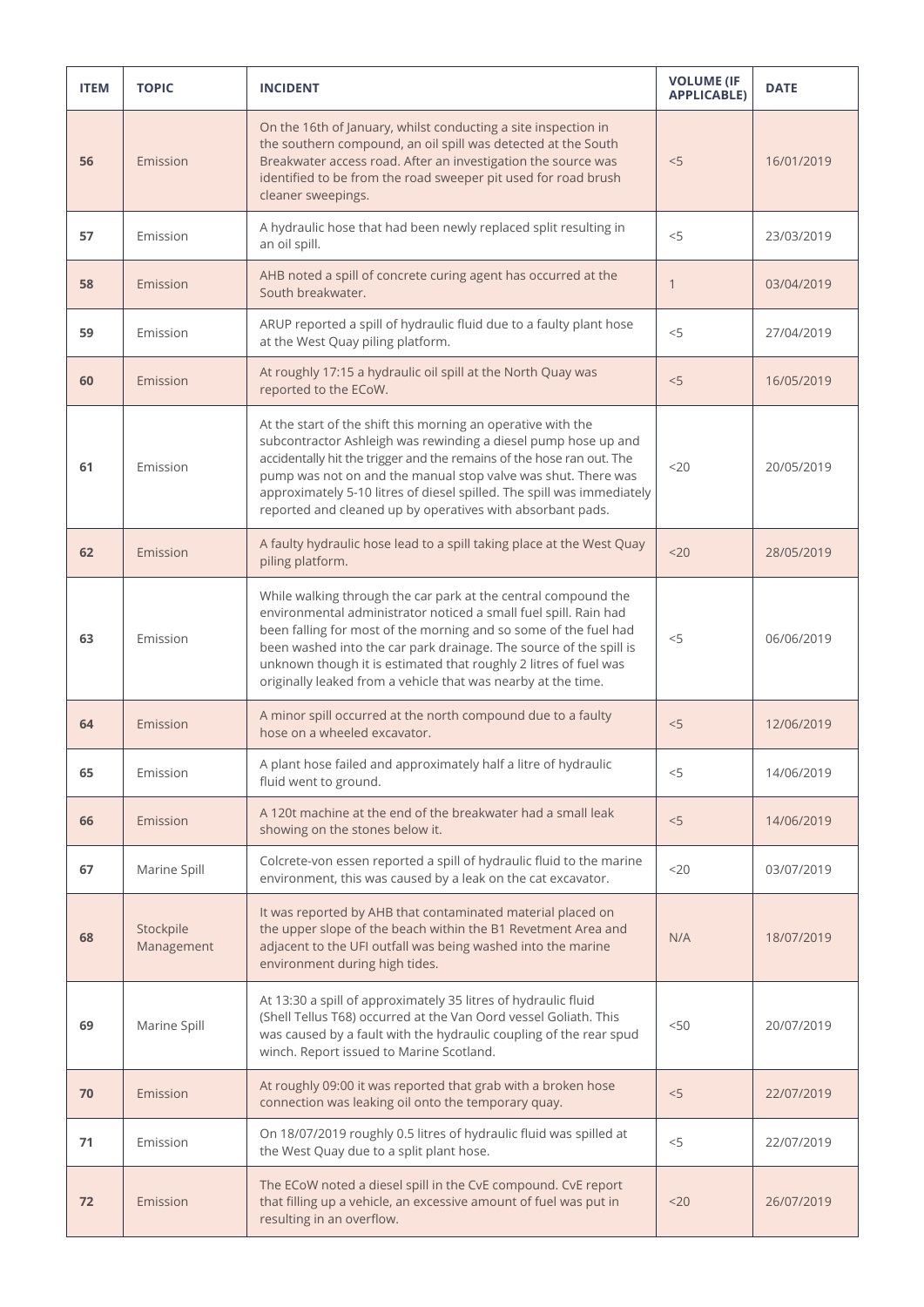| <b>ITEM</b> | <b>TOPIC</b>            | <b>INCIDENT</b>                                                                                                                                                                                                                                                                                                                                                                                                   | <b>VOLUME (IF</b><br><b>APPLICABLE)</b> | <b>DATE</b> |
|-------------|-------------------------|-------------------------------------------------------------------------------------------------------------------------------------------------------------------------------------------------------------------------------------------------------------------------------------------------------------------------------------------------------------------------------------------------------------------|-----------------------------------------|-------------|
| 56          | Emission                | On the 16th of January, whilst conducting a site inspection in<br>the southern compound, an oil spill was detected at the South<br>Breakwater access road. After an investigation the source was<br>identified to be from the road sweeper pit used for road brush<br>cleaner sweepings.                                                                                                                          | < 5                                     | 16/01/2019  |
| 57          | Emission                | A hydraulic hose that had been newly replaced split resulting in<br>an oil spill.                                                                                                                                                                                                                                                                                                                                 | < 5                                     | 23/03/2019  |
| 58          | Emission                | AHB noted a spill of concrete curing agent has occurred at the<br>South breakwater.                                                                                                                                                                                                                                                                                                                               | $\mathbf{1}$                            | 03/04/2019  |
| 59          | Emission                | ARUP reported a spill of hydraulic fluid due to a faulty plant hose<br>at the West Quay piling platform.                                                                                                                                                                                                                                                                                                          | < 5                                     | 27/04/2019  |
| 60          | Emission                | At roughly 17:15 a hydraulic oil spill at the North Quay was<br>reported to the ECoW.                                                                                                                                                                                                                                                                                                                             | < 5                                     | 16/05/2019  |
| 61          | Emission                | At the start of the shift this morning an operative with the<br>subcontractor Ashleigh was rewinding a diesel pump hose up and<br>accidentally hit the trigger and the remains of the hose ran out. The<br>pump was not on and the manual stop valve was shut. There was<br>approximately 5-10 litres of diesel spilled. The spill was immediately<br>reported and cleaned up by operatives with absorbant pads.  | $20$                                    | 20/05/2019  |
| 62          | Emission                | A faulty hydraulic hose lead to a spill taking place at the West Quay<br>piling platform.                                                                                                                                                                                                                                                                                                                         | $20$                                    | 28/05/2019  |
| 63          | Emission                | While walking through the car park at the central compound the<br>environmental administrator noticed a small fuel spill. Rain had<br>been falling for most of the morning and so some of the fuel had<br>been washed into the car park drainage. The source of the spill is<br>unknown though it is estimated that roughly 2 litres of fuel was<br>originally leaked from a vehicle that was nearby at the time. | $<$ 5                                   | 06/06/2019  |
| 64          | Emission                | A minor spill occurred at the north compound due to a faulty<br>hose on a wheeled excavator.                                                                                                                                                                                                                                                                                                                      | < 5                                     | 12/06/2019  |
| 65          | Emission                | A plant hose failed and approximately half a litre of hydraulic<br>fluid went to ground.                                                                                                                                                                                                                                                                                                                          | $<$ 5                                   | 14/06/2019  |
| 66          | Emission                | A 120t machine at the end of the breakwater had a small leak<br>showing on the stones below it.                                                                                                                                                                                                                                                                                                                   | < 5                                     | 14/06/2019  |
| 67          | Marine Spill            | Colcrete-von essen reported a spill of hydraulic fluid to the marine<br>environment, this was caused by a leak on the cat excavator.                                                                                                                                                                                                                                                                              | <20                                     | 03/07/2019  |
| 68          | Stockpile<br>Management | It was reported by AHB that contaminated material placed on<br>the upper slope of the beach within the B1 Revetment Area and<br>adjacent to the UFI outfall was being washed into the marine<br>environment during high tides.                                                                                                                                                                                    | N/A                                     | 18/07/2019  |
| 69          | Marine Spill            | At 13:30 a spill of approximately 35 litres of hydraulic fluid<br>(Shell Tellus T68) occurred at the Van Oord vessel Goliath. This<br>was caused by a fault with the hydraulic coupling of the rear spud<br>winch. Report issued to Marine Scotland.                                                                                                                                                              | < 50                                    | 20/07/2019  |
| 70          | Emission                | At roughly 09:00 it was reported that grab with a broken hose<br>connection was leaking oil onto the temporary quay.                                                                                                                                                                                                                                                                                              | < 5                                     | 22/07/2019  |
| 71          | Emission                | On 18/07/2019 roughly 0.5 litres of hydraulic fluid was spilled at<br>the West Quay due to a split plant hose.                                                                                                                                                                                                                                                                                                    | $<$ 5                                   | 22/07/2019  |
| 72          | Emission                | The ECoW noted a diesel spill in the CvE compound. CvE report<br>that filling up a vehicle, an excessive amount of fuel was put in<br>resulting in an overflow.                                                                                                                                                                                                                                                   | 20                                      | 26/07/2019  |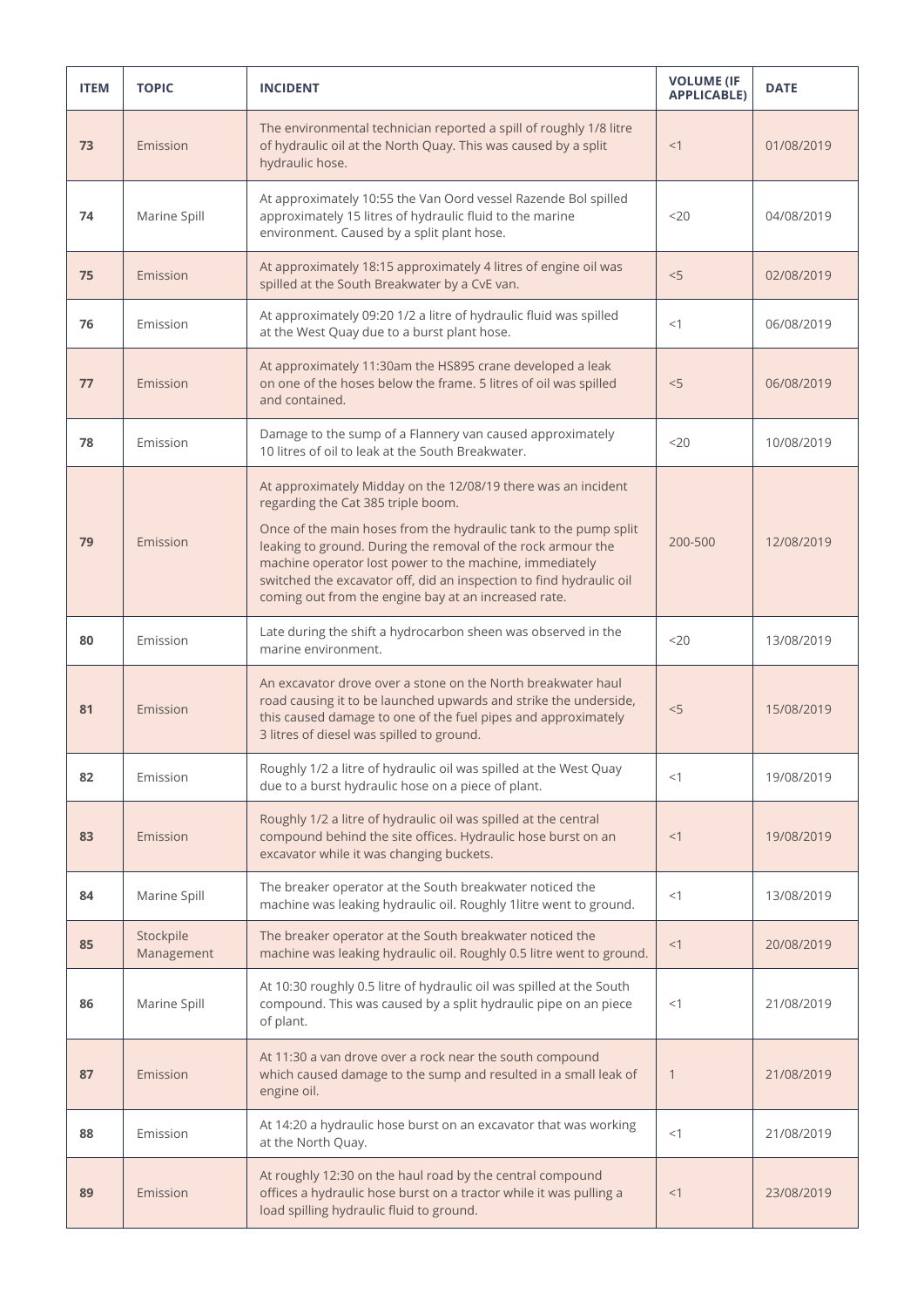| <b>ITEM</b> | <b>TOPIC</b>            | <b>INCIDENT</b>                                                                                                                                                                                                                                                                                                                                                                                                                   | <b>VOLUME (IF</b><br><b>APPLICABLE)</b> | <b>DATE</b> |
|-------------|-------------------------|-----------------------------------------------------------------------------------------------------------------------------------------------------------------------------------------------------------------------------------------------------------------------------------------------------------------------------------------------------------------------------------------------------------------------------------|-----------------------------------------|-------------|
| 73          | Emission                | The environmental technician reported a spill of roughly 1/8 litre<br>of hydraulic oil at the North Quay. This was caused by a split<br>hydraulic hose.                                                                                                                                                                                                                                                                           | <1                                      | 01/08/2019  |
| 74          | Marine Spill            | At approximately 10:55 the Van Oord vessel Razende Bol spilled<br>approximately 15 litres of hydraulic fluid to the marine<br>environment. Caused by a split plant hose.                                                                                                                                                                                                                                                          | $<$ 20                                  | 04/08/2019  |
| 75          | Emission                | At approximately 18:15 approximately 4 litres of engine oil was<br>spilled at the South Breakwater by a CvE van.                                                                                                                                                                                                                                                                                                                  | < 5                                     | 02/08/2019  |
| 76          | Emission                | At approximately 09:20 1/2 a litre of hydraulic fluid was spilled<br>at the West Quay due to a burst plant hose.                                                                                                                                                                                                                                                                                                                  | <1                                      | 06/08/2019  |
| 77          | Emission                | At approximately 11:30am the HS895 crane developed a leak<br>on one of the hoses below the frame. 5 litres of oil was spilled<br>and contained.                                                                                                                                                                                                                                                                                   | < 5                                     | 06/08/2019  |
| 78          | Emission                | Damage to the sump of a Flannery van caused approximately<br>10 litres of oil to leak at the South Breakwater.                                                                                                                                                                                                                                                                                                                    | 20                                      | 10/08/2019  |
| 79          | Emission                | At approximately Midday on the 12/08/19 there was an incident<br>regarding the Cat 385 triple boom.<br>Once of the main hoses from the hydraulic tank to the pump split<br>leaking to ground. During the removal of the rock armour the<br>machine operator lost power to the machine, immediately<br>switched the excavator off, did an inspection to find hydraulic oil<br>coming out from the engine bay at an increased rate. | 200-500                                 | 12/08/2019  |
| 80          | Emission                | Late during the shift a hydrocarbon sheen was observed in the<br>marine environment.                                                                                                                                                                                                                                                                                                                                              | 20                                      | 13/08/2019  |
| 81          | Emission                | An excavator drove over a stone on the North breakwater haul<br>road causing it to be launched upwards and strike the underside,<br>this caused damage to one of the fuel pipes and approximately<br>3 litres of diesel was spilled to ground.                                                                                                                                                                                    | < 5                                     | 15/08/2019  |
| 82          | Emission                | Roughly 1/2 a litre of hydraulic oil was spilled at the West Quay<br>due to a burst hydraulic hose on a piece of plant.                                                                                                                                                                                                                                                                                                           | <1                                      | 19/08/2019  |
| 83          | Emission                | Roughly 1/2 a litre of hydraulic oil was spilled at the central<br>compound behind the site offices. Hydraulic hose burst on an<br>excavator while it was changing buckets.                                                                                                                                                                                                                                                       | <1                                      | 19/08/2019  |
| 84          | Marine Spill            | The breaker operator at the South breakwater noticed the<br>machine was leaking hydraulic oil. Roughly 1litre went to ground.                                                                                                                                                                                                                                                                                                     | <1                                      | 13/08/2019  |
| 85          | Stockpile<br>Management | The breaker operator at the South breakwater noticed the<br>machine was leaking hydraulic oil. Roughly 0.5 litre went to ground.                                                                                                                                                                                                                                                                                                  | <1                                      | 20/08/2019  |
| 86          | Marine Spill            | At 10:30 roughly 0.5 litre of hydraulic oil was spilled at the South<br>compound. This was caused by a split hydraulic pipe on an piece<br>of plant.                                                                                                                                                                                                                                                                              | <1                                      | 21/08/2019  |
| 87          | Emission                | At 11:30 a van drove over a rock near the south compound<br>which caused damage to the sump and resulted in a small leak of<br>engine oil.                                                                                                                                                                                                                                                                                        | $\mathbf{1}$                            | 21/08/2019  |
| 88          | Emission                | At 14:20 a hydraulic hose burst on an excavator that was working<br>at the North Quay.                                                                                                                                                                                                                                                                                                                                            | <1                                      | 21/08/2019  |
| 89          | Emission                | At roughly 12:30 on the haul road by the central compound<br>offices a hydraulic hose burst on a tractor while it was pulling a<br>load spilling hydraulic fluid to ground.                                                                                                                                                                                                                                                       | <1                                      | 23/08/2019  |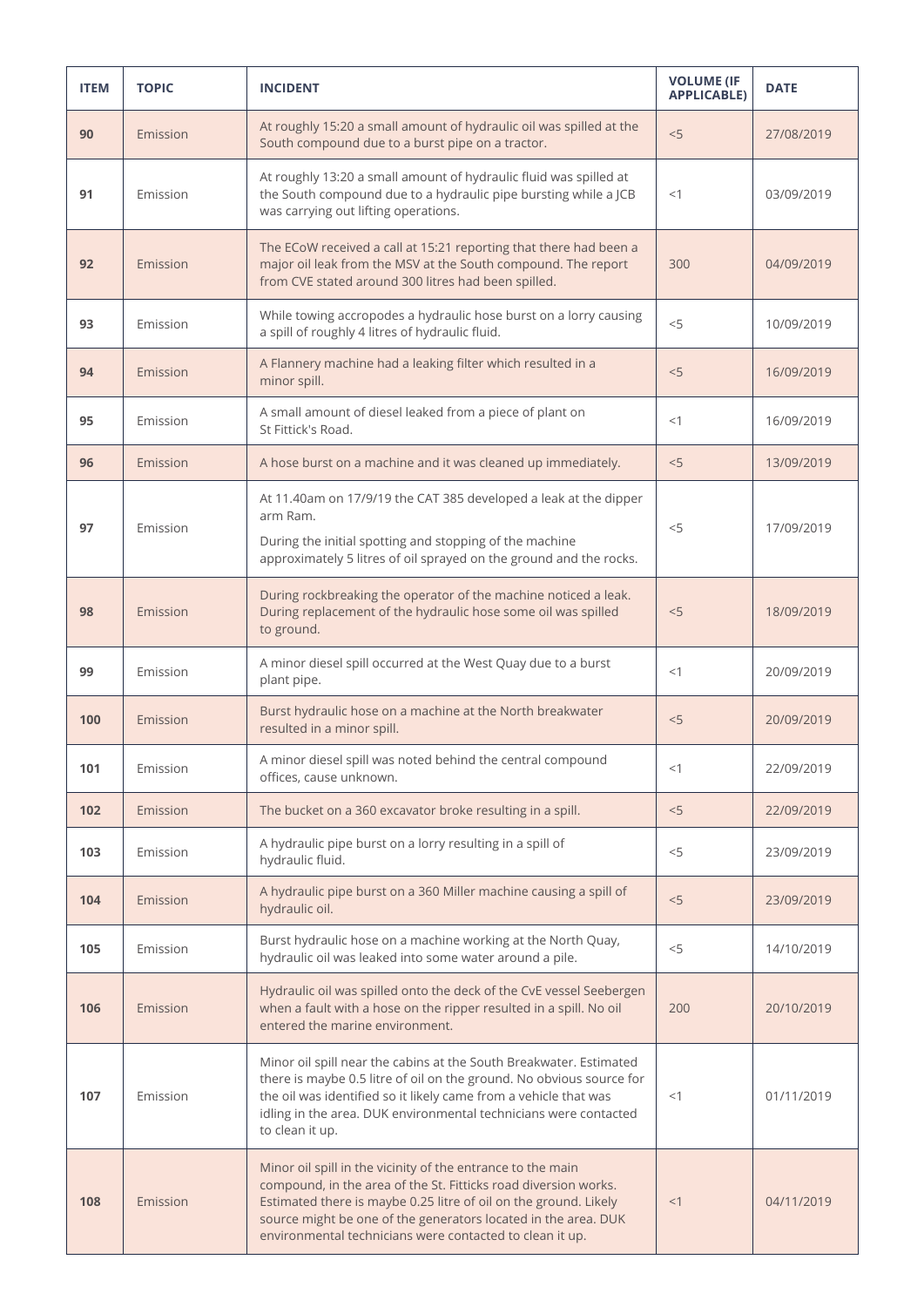| <b>ITEM</b> | <b>TOPIC</b> | <b>INCIDENT</b>                                                                                                                                                                                                                                                                                                                  | <b>VOLUME (IF</b><br><b>APPLICABLE)</b> | <b>DATE</b> |
|-------------|--------------|----------------------------------------------------------------------------------------------------------------------------------------------------------------------------------------------------------------------------------------------------------------------------------------------------------------------------------|-----------------------------------------|-------------|
| 90          | Emission     | At roughly 15:20 a small amount of hydraulic oil was spilled at the<br>South compound due to a burst pipe on a tractor.                                                                                                                                                                                                          | < 5                                     | 27/08/2019  |
| 91          | Emission     | At roughly 13:20 a small amount of hydraulic fluid was spilled at<br>the South compound due to a hydraulic pipe bursting while a JCB<br>was carrying out lifting operations.                                                                                                                                                     | <1                                      | 03/09/2019  |
| 92          | Emission     | The ECoW received a call at 15:21 reporting that there had been a<br>major oil leak from the MSV at the South compound. The report<br>from CVE stated around 300 litres had been spilled.                                                                                                                                        | 300                                     | 04/09/2019  |
| 93          | Emission     | While towing accropodes a hydraulic hose burst on a lorry causing<br>a spill of roughly 4 litres of hydraulic fluid.                                                                                                                                                                                                             | < 5                                     | 10/09/2019  |
| 94          | Emission     | A Flannery machine had a leaking filter which resulted in a<br>minor spill.                                                                                                                                                                                                                                                      | < 5                                     | 16/09/2019  |
| 95          | Emission     | A small amount of diesel leaked from a piece of plant on<br>St Fittick's Road.                                                                                                                                                                                                                                                   | <1                                      | 16/09/2019  |
| 96          | Emission     | A hose burst on a machine and it was cleaned up immediately.                                                                                                                                                                                                                                                                     | < 5                                     | 13/09/2019  |
| 97          | Emission     | At 11.40am on 17/9/19 the CAT 385 developed a leak at the dipper<br>arm Ram.<br>During the initial spotting and stopping of the machine<br>approximately 5 litres of oil sprayed on the ground and the rocks.                                                                                                                    | $<$ 5                                   | 17/09/2019  |
| 98          | Emission     | During rockbreaking the operator of the machine noticed a leak.<br>During replacement of the hydraulic hose some oil was spilled<br>to ground.                                                                                                                                                                                   | < 5                                     | 18/09/2019  |
| 99          | Emission     | A minor diesel spill occurred at the West Quay due to a burst<br>plant pipe.                                                                                                                                                                                                                                                     | <1                                      | 20/09/2019  |
| 100         | Emission     | Burst hydraulic hose on a machine at the North breakwater<br>resulted in a minor spill.                                                                                                                                                                                                                                          | < 5                                     | 20/09/2019  |
| 101         | Emission     | A minor diesel spill was noted behind the central compound<br>offices, cause unknown.                                                                                                                                                                                                                                            | <1                                      | 22/09/2019  |
| 102         | Emission     | The bucket on a 360 excavator broke resulting in a spill.                                                                                                                                                                                                                                                                        | < 5                                     | 22/09/2019  |
| 103         | Emission     | A hydraulic pipe burst on a lorry resulting in a spill of<br>hydraulic fluid.                                                                                                                                                                                                                                                    | $<$ 5                                   | 23/09/2019  |
| 104         | Emission     | A hydraulic pipe burst on a 360 Miller machine causing a spill of<br>hydraulic oil.                                                                                                                                                                                                                                              | < 5                                     | 23/09/2019  |
| 105         | Emission     | Burst hydraulic hose on a machine working at the North Quay,<br>hydraulic oil was leaked into some water around a pile.                                                                                                                                                                                                          | $<$ 5                                   | 14/10/2019  |
| 106         | Emission     | Hydraulic oil was spilled onto the deck of the CvE vessel Seebergen<br>when a fault with a hose on the ripper resulted in a spill. No oil<br>entered the marine environment.                                                                                                                                                     | 200                                     | 20/10/2019  |
| 107         | Emission     | Minor oil spill near the cabins at the South Breakwater. Estimated<br>there is maybe 0.5 litre of oil on the ground. No obvious source for<br>the oil was identified so it likely came from a vehicle that was<br>idling in the area. DUK environmental technicians were contacted<br>to clean it up.                            | <1                                      | 01/11/2019  |
| 108         | Emission     | Minor oil spill in the vicinity of the entrance to the main<br>compound, in the area of the St. Fitticks road diversion works.<br>Estimated there is maybe 0.25 litre of oil on the ground. Likely<br>source might be one of the generators located in the area. DUK<br>environmental technicians were contacted to clean it up. | <1                                      | 04/11/2019  |